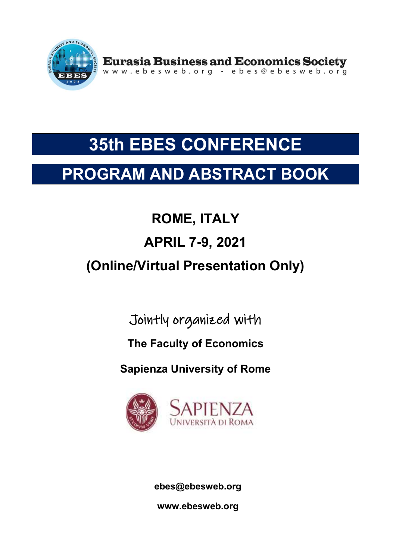

## PROGRAM AND ABSTRACT BOOK

# ROME, ITALY APRIL 7-9, 2021 (Online/Virtual Presentation Only)

Jointly organized with

## The Faculty of Economics

Sapienza University of Rome



ebes@ebesweb.org

www.ebesweb.org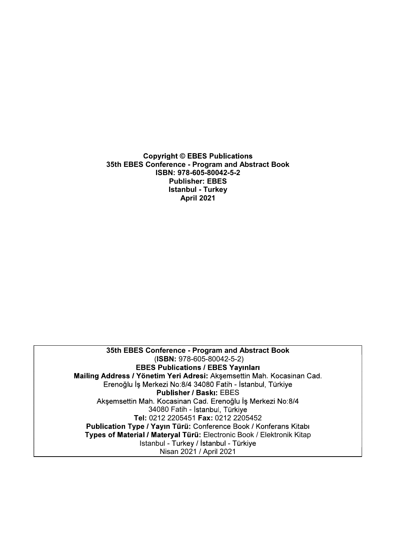S5th EBES Conference - Program and Abstract Book<br>1978 - Step Program and Abstract Book<br>1978 - S55 - Publisher: EBES<br>2014 - Publisher: EBES<br>1978 - Stanbul - Turkey<br>April 2021 ISBN: 978-605-80042-5-2 Publisher: EBES ght © EBES Publications<br>ence - Program and Abstract Book<br>N: 978-605-80042-5-2<br>Publisher: EBES<br>Istanbul - Turkey<br>April 2021 April 2021

Publisher: EBES<br>
Istanbul - Turkey<br>
April 2021<br>
April 2021<br>
35th EBES Conference - Program and Abstract Book<br>
(ISBN: 978-605-80042-5-2)<br>
EBES Publications / EBES Yayınları<br>
Iddress / Yönetim 'Yeri Adressi: Akşemsettin Mah. (ISBN: 978-605-80042-5-2) Erenoğlu İş Merkezi No:8/4 34080 Fatih - İstanbul, Türkiye Publisher / Baskı: EBES 34080 Fatih - İstanbul, Türkiye Tel: 0212 2205451 Fax: 0212 2205452 Types of Material / Materyal Türü: Electronic Book / Elektronik Kitap S Conference - Program and Abstract Book<br>(ISBN: 978-605-80042-5-2)<br>ISBES Publications / EBES Yayınları<br>Önetim Yeri Adresi: Akşemsettin Mah. Kocasinan Cad.<br>Merkezi No:8/4 34080 Fatih - İstanbul, Türkiye<br>Publisher / Baski: E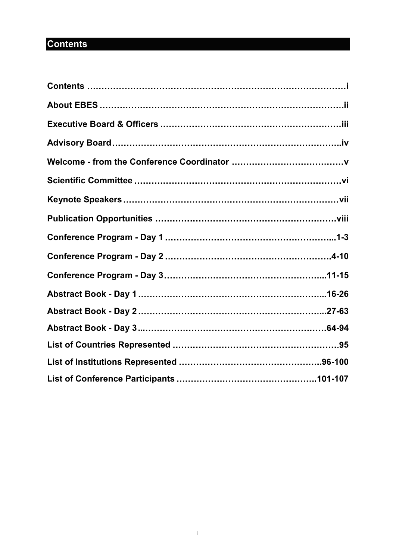## **Contents**

| <b>Contents</b> |  |
|-----------------|--|
|                 |  |
|                 |  |
|                 |  |
|                 |  |
|                 |  |
|                 |  |
|                 |  |
|                 |  |
|                 |  |
|                 |  |
|                 |  |
|                 |  |
|                 |  |
|                 |  |
|                 |  |
|                 |  |
|                 |  |
|                 |  |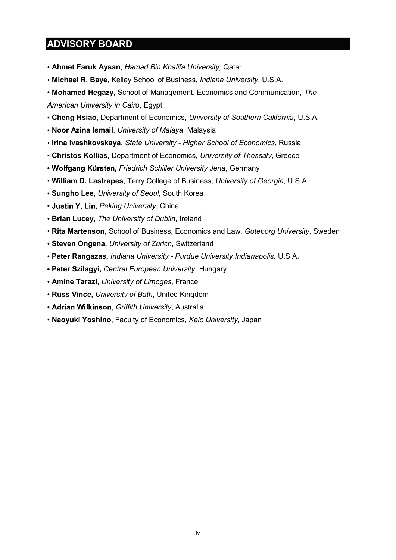## ADVISORY BOARD

- Ahmet Faruk Aysan, Hamad Bin Khalifa University, Qatar
- Michael R. Baye, Kelley School of Business, Indiana University, U.S.A.
- Mohamed Hegazy, School of Management, Economics and Communication, The

American University in Cairo, Egypt

- Cheng Hsiao, Department of Economics, University of Southern California, U.S.A.
- Noor Azina Ismail, University of Malaya, Malaysia
- Irina Ivashkovskaya, State University Higher School of Economics, Russia
- Christos Kollias, Department of Economics, University of Thessaly, Greece
- Wolfgang Kürsten, Friedrich Schiller University Jena, Germany
- William D. Lastrapes, Terry College of Business, University of Georgia, U.S.A.
- **· Sungho Lee, University of Seoul, South Korea**
- Justin Y. Lin, Peking University, China
- **· Brian Lucey, The University of Dublin, Ireland**
- Rita Martenson, School of Business, Economics and Law, Goteborg University, Sweden
- **· Steven Ongena, University of Zurich, Switzerland**
- Peter Rangazas, Indiana University Purdue University Indianapolis, U.S.A.
- Peter Szilagyi, Central European University, Hungary
- **Amine Tarazi**, University of Limoges, France
- Russ Vince, University of Bath, United Kingdom
- Adrian Wilkinson, Griffith University, Australia
- Naoyuki Yoshino, Faculty of Economics, Keio University, Japan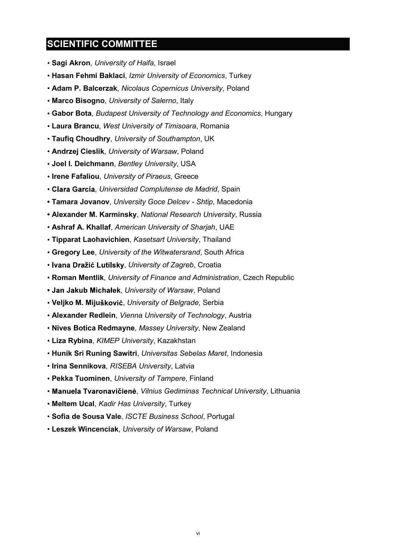## SCIENTIFIC COMMITTEE

- Sagi Akron, University of Haifa, Israel
- Hasan Fehmi Baklaci, Izmir University of Economics, Turkey
- Adam P. Balcerzak, Nicolaus Copernicus University, Poland
- Marco Bisogno, University of Salerno, Italy
- Gabor Bota, Budapest University of Technology and Economics, Hungary
- Laura Brancu, West University of Timisoara, Romania
- Taufiq Choudhry, University of Southampton, UK
- **Andrzej Cieslik, University of Warsaw, Poland**
- **Joel I. Deichmann, Bentley University, USA**
- Irene Fafaliou, University of Piraeus, Greece
- Clara García, Universidad Complutense de Madrid, Spain
- Tamara Jovanov, University Goce Delcev Shtip, Macedonia
- Alexander M. Karminsky, National Research University, Russia
- Ashraf A. Khallaf, American University of Sharjah, UAE
- Tipparat Laohavichien, Kasetsart University, Thailand
- Gregory Lee, University of the Witwatersrand, South Africa
- Ivana Dražić Lutilsky, University of Zagreb, Croatia
- Roman Mentlik, University of Finance and Administration, Czech Republic
- Jan Jakub Michałek, University of Warsaw, Poland
- Veljko M. Mijušković, University of Belgrade, Serbia
- Alexander Redlein, Vienna University of Technology, Austria
- Nives Botica Redmayne, Massey University, New Zealand
- **· Liza Rybina, KIMEP University, Kazakhstan**
- **Hunik Sri Runing Sawitri, Universitas Sebelas Maret, Indonesia**
- Irina Sennikova, RISEBA University, Latvia
- Pekka Tuominen, University of Tampere, Finland
- Manuela Tvaronavičienė, Vilnius Gediminas Technical University, Lithuania
- Meltem Ucal, Kadir Has University, Turkey
- · Sofia de Sousa Vale, ISCTE Business School, Portugal
- Leszek Wincenciak, University of Warsaw, Poland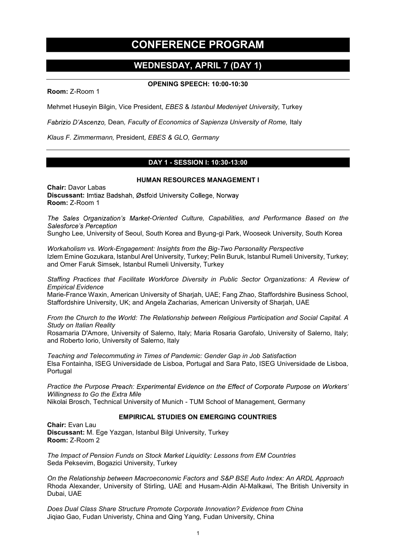## CONFERENCE PROGRAM

### WEDNESDAY, APRIL 7 (DAY 1)

OPENING SPEECH: 10:00-10:30

Room: Z-Room 1

Mehmet Huseyin Bilgin, Vice President, EBES & Istanbul Medeniyet University, Turkey

Fabrizio D'Ascenzo, Dean, Faculty of Economics of Sapienza University of Rome, Italy

Klaus F. Zimmermann, President, EBES & GLO, Germany

### DAY 1 - SESSION I: 10:30-13:00

#### HUMAN RESOURCES MANAGEMENT I

Chair: Davor Labas Discussant: Imtiaz Badshah, Østfold University College, Norway Room: Z-Room 1

The Sales Organization's Market-Oriented Culture, Capabilities, and Performance Based on the Salesforce's Perception

Sungho Lee, University of Seoul, South Korea and Byung-gi Park, Wooseok University, South Korea

Workaholism vs. Work-Engagement: Insights from the Big-Two Personality Perspective Izlem Emine Gozukara, Istanbul Arel University, Turkey; Pelin Buruk, Istanbul Rumeli University, Turkey; and Omer Faruk Simsek, Istanbul Rumeli University, Turkey

Staffing Practices that Facilitate Workforce Diversity in Public Sector Organizations: A Review of Empirical Evidence

Marie-France Waxin, American University of Sharjah, UAE; Fang Zhao, Staffordshire Business School, Staffordshire University, UK; and Angela Zacharias, American University of Sharjah, UAE

From the Church to the World: The Relationship between Religious Participation and Social Capital. A Study on Italian Reality

Rosamaria D'Amore, University of Salerno, Italy; Maria Rosaria Garofalo, University of Salerno, Italy; and Roberto Iorio, University of Salerno, Italy

Teaching and Telecommuting in Times of Pandemic: Gender Gap in Job Satisfaction Elsa Fontainha, ISEG Universidade de Lisboa, Portugal and Sara Pato, ISEG Universidade de Lisboa, **Portugal** 

Practice the Purpose Preach: Experimental Evidence on the Effect of Corporate Purpose on Workers' Willingness to Go the Extra Mile

Nikolai Brosch, Technical University of Munich - TUM School of Management, Germany

#### EMPIRICAL STUDIES ON EMERGING COUNTRIES

Chair: Evan Lau Discussant: M. Ege Yazgan, Istanbul Bilgi University, Turkey Room: Z-Room 2

The Impact of Pension Funds on Stock Market Liquidity: Lessons from EM Countries Seda Peksevim, Bogazici University, Turkey

On the Relationship between Macroeconomic Factors and S&P BSE Auto Index: An ARDL Approach Rhoda Alexander, University of Stirling, UAE and Husam-Aldin Al-Malkawi, The British University in Dubai, UAE

Does Dual Class Share Structure Promote Corporate Innovation? Evidence from China Jiqiao Gao, Fudan Univeristy, China and Qing Yang, Fudan University, China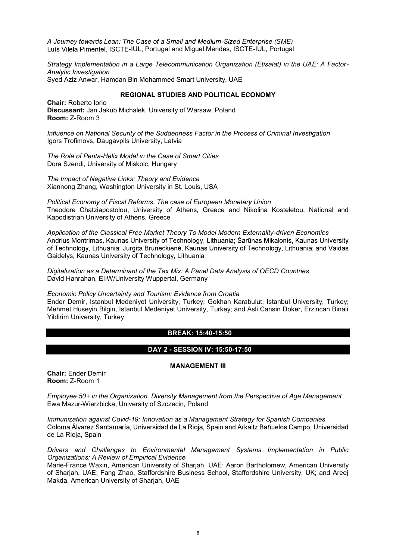A Journey towards Lean: The Case of a Small and Medium-Sized Enterprise (SME) Luís Vilela Pimentel, ISCTE-IUL, Portugal and Miguel Mendes, ISCTE-IUL, Portugal

Strategy Implementation in a Large Telecommunication Organization (Etisalat) in the UAE: A Factor-Analytic Investigation Syed Aziz Anwar, Hamdan Bin Mohammed Smart University, UAE

#### REGIONAL STUDIES AND POLITICAL ECONOMY

Chair: Roberto Iorio Discussant: Jan Jakub Michalek, University of Warsaw, Poland Room: Z-Room 3

Influence on National Security of the Suddenness Factor in the Process of Criminal Investigation Igors Trofimovs, Daugavpils University, Latvia

The Role of Penta-Helix Model in the Case of Smart Cities Dora Szendi, University of Miskolc, Hungary

The Impact of Negative Links: Theory and Evidence Xiannong Zhang, Washington University in St. Louis, USA

Political Economy of Fiscal Reforms. The case of European Monetary Union Theodore Chatziapostolou, University of Athens, Greece and Nikolina Kosteletou, National and Kapodistrian University of Athens, Greece

Application of the Classical Free Market Theory To Model Modern Externality-driven Economies Andrius Montrimas, Kaunas University of Technology, Lithuania; Šarūnas Mikalonis, Kaunas University of Technology, Lithuania; Jurgita Bruneckienė, Kaunas University of Technology, Lithuania; and Vaidas Gaidelys, Kaunas University of Technology, Lithuania

Digitalization as a Determinant of the Tax Mix: A Panel Data Analysis of OECD Countries David Hanrahan, EIIW/University Wuppertal, Germany

Economic Policy Uncertainty and Tourism: Evidence from Croatia Ender Demir, Istanbul Medeniyet University, Turkey; Gokhan Karabulut, Istanbul University, Turkey; Mehmet Huseyin Bilgin, Istanbul Medeniyet University, Turkey; and Asli Cansin Doker, Erzincan Binali Yildirim University, Turkey

#### BREAK: 15:40-15:50

#### DAY 2 - SESSION IV: 15:50-17:50

MANAGEMENT III

Chair: Ender Demir Room: Z-Room 1

Employee 50+ in the Organization. Diversity Management from the Perspective of Age Management Ewa Mazur-Wierzbicka, University of Szczecin, Poland

Immunization against Covid-19: Innovation as a Management Strategy for Spanish Companies Coloma Álvarez Santamaría, Universidad de La Rioja, Spain and Arkaitz Bañuelos Campo, Universidad de La Rioja, Spain

Drivers and Challenges to Environmental Management Systems Implementation in Public Organizations: A Review of Empirical Evidence

Marie-France Waxin, American University of Sharjah, UAE; Aaron Bartholomew, American University of Sharjah, UAE; Fang Zhao, Staffordshire Business School, Staffordshire University, UK; and Areej Makda, American University of Sharjah, UAE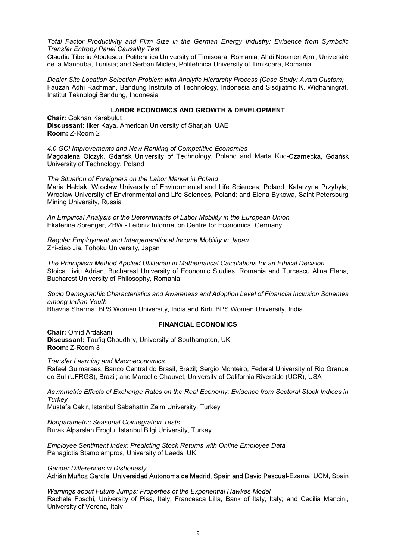Total Factor Productivity and Firm Size in the German Energy Industry: Evidence from Symbolic Transfer Entropy Panel Causality Test

Claudiu Tiberiu Albulescu, Politehnica University of Timisoara, Romania; Ahdi Noomen Ajmi, Université de la Manouba, Tunisia; and Serban Miclea, Politehnica University of Timisoara, Romania

Dealer Site Location Selection Problem with Analytic Hierarchy Process (Case Study: Avara Custom) Fauzan Adhi Rachman, Bandung Institute of Technology, Indonesia and Sisdjiatmo K. Widhaningrat, Institut Teknologi Bandung, Indonesia

#### LABOR ECONOMICS AND GROWTH & DEVELOPMENT

Chair: Gokhan Karabulut Discussant: Ilker Kaya, American University of Sharjah, UAE Room: Z-Room 2

4.0 GCI Improvements and New Ranking of Competitive Economies Magdalena Olczyk, Gdańsk University of Technology, Poland and Marta Kuc-Czarnecka, Gdańsk University of Technology, Poland

The Situation of Foreigners on the Labor Market in Poland Maria Hełdak, Wroclaw University of Environmental and Life Sciences, Poland; Katarzyna Przybyła, Wroclaw University of Environmental and Life Sciences, Poland; and Elena Bykowa, Saint Petersburg Mining University, Russia

An Empirical Analysis of the Determinants of Labor Mobility in the European Union Ekaterina Sprenger, ZBW - Leibniz Information Centre for Economics, Germany

Regular Employment and Intergenerational Income Mobility in Japan Zhi-xiao Jia, Tohoku University, Japan

The Principlism Method Applied Utilitarian in Mathematical Calculations for an Ethical Decision Stoica Liviu Adrian, Bucharest University of Economic Studies, Romania and Turcescu Alina Elena, Bucharest University of Philosophy, Romania

Socio Demographic Characteristics and Awareness and Adoption Level of Financial Inclusion Schemes among Indian Youth

Bhavna Sharma, BPS Women University, India and Kirti, BPS Women University, India

#### FINANCIAL ECONOMICS

Chair: Omid Ardakani Discussant: Taufiq Choudhry, University of Southampton, UK Room: Z-Room 3

Transfer Learning and Macroeconomics

Rafael Guimaraes, Banco Central do Brasil, Brazil; Sergio Monteiro, Federal University of Rio Grande do Sul (UFRGS), Brazil; and Marcelle Chauvet, University of California Riverside (UCR), USA

Asymmetric Effects of Exchange Rates on the Real Economy: Evidence from Sectoral Stock Indices in **Turkey** 

Mustafa Cakir, Istanbul Sabahattin Zaim University, Turkey

Nonparametric Seasonal Cointegration Tests Burak Alparslan Eroglu, Istanbul Bilgi University, Turkey

Employee Sentiment Index: Predicting Stock Returns with Online Employee Data Panagiotis Stamolampros, University of Leeds, UK

Gender Differences in Dishonesty

Adrián Muñoz García, Universidad Autonoma de Madrid, Spain and David Pascual-Ezama, UCM, Spain

Warnings about Future Jumps: Properties of the Exponential Hawkes Model Rachele Foschi, University of Pisa, Italy; Francesca Lilla, Bank of Italy, Italy; and Cecilia Mancini, University of Verona, Italy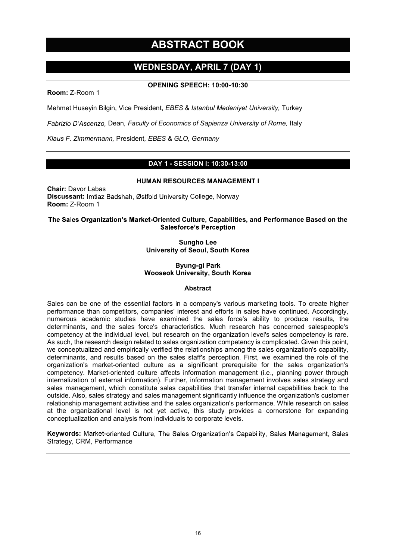## ABSTRACT BOOK

### WEDNESDAY, APRIL 7 (DAY 1)

#### OPENING SPEECH: 10:00-10:30

Room: Z-Room 1

Mehmet Huseyin Bilgin, Vice President, EBES & Istanbul Medeniyet University, Turkey

Fabrizio D'Ascenzo, Dean, Faculty of Economics of Sapienza University of Rome, Italy

Klaus F. Zimmermann, President, EBES & GLO, Germany

#### DAY 1 - SESSION I: 10:30-13:00

#### HUMAN RESOURCES MANAGEMENT I

Chair: Davor Labas Discussant: Imtiaz Badshah, Østfold University College, Norway Room: Z-Room 1

#### The Sales Organization's Market-Oriented Culture, Capabilities, and Performance Based on the **Salesforce's Perception**

Sungho Lee University of Seoul, South Korea

#### Byung-gi Park Wooseok University, South Korea

#### Abstract

Sales can be one of the essential factors in a company's various marketing tools. To create higher performance than competitors, companies' interest and efforts in sales have continued. Accordingly, numerous academic studies have examined the sales force's ability to produce results, the determinants, and the sales force's characteristics. Much research has concerned salespeople's competency at the individual level, but research on the organization level's sales competency is rare. As such, the research design related to sales organization competency is complicated. Given this point, we conceptualized and empirically verified the relationships among the sales organization's capability, determinants, and results based on the sales staff's perception. First, we examined the role of the organization's market-oriented culture as a significant prerequisite for the sales organization's competency. Market-oriented culture affects information management (i.e., planning power through internalization of external information). Further, information management involves sales strategy and sales management, which constitute sales capabilities that transfer internal capabilities back to the outside. Also, sales strategy and sales management significantly influence the organization's customer relationship management activities and the sales organization's performance. While research on sales at the organizational level is not yet active, this study provides a cornerstone for expanding conceptualization and analysis from individuals to corporate levels.

Keywords: Market-oriented Culture, The Sales Organization's Capability, Sales Management, Sales Strategy, CRM, Performance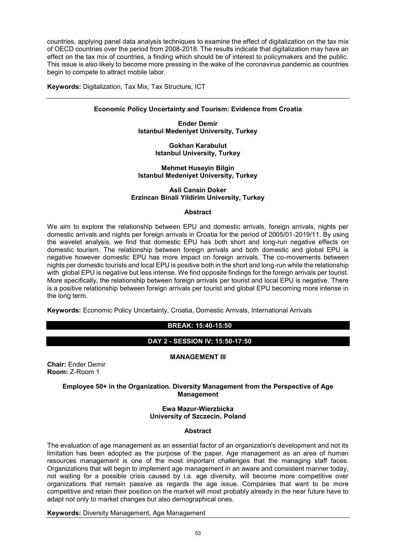countries, applying panel data analysis techniques to examine the effect of digitalization on the tax mix of OECD countries over the period from 2008-2018. The results indicate that digitalization may have an effect on the tax mix of countries, a finding which should be of interest to policymakers and the public. This issue is also likely to become more pressing in the wake of the coronavirus pandemic as countries begin to compete to attract mobile labor.

Keywords: Digitalization, Tax Mix, Tax Structure, ICT

#### Economic Policy Uncertainty and Tourism: Evidence from Croatia

Ender Demir Istanbul Medeniyet University, Turkey

> Gokhan Karabulut Istanbul University, Turkey

#### Mehmet Huseyin Bilgin Istanbul Medeniyet University, Turkey

#### Asli Cansin Doker Erzincan Binali Yildirim University, Turkey

#### **Abstract**

We aim to explore the relationship between EPU and domestic arrivals, foreign arrivals, nights per domestic arrivals and nights per foreign arrivals in Croatia for the period of 2005/01-2019/11. By using the wavelet analysis, we find that domestic EPU has both short and long-run negative effects on domestic tourism. The relationship between foreign arrivals and both domestic and global EPU is negative however domestic EPU has more impact on foreign arrivals. The co-movements between nights per domestic tourists and local EPU is positive both in the short and long-run while the relationship with global EPU is negative but less intense. We find opposite findings for the foreign arrivals per tourist. More specifically, the relationship between foreign arrivals per tourist and local EPU is negative. There is a positive relationship between foreign arrivals per tourist and global EPU becoming more intense in the long term.

Keywords: Economic Policy Uncertainty, Croatia, Domestic Arrivals, International Arrivals

#### BREAK: 15:40-15:50

#### DAY 2 - SESSION IV: 15:50-17:50

#### MANAGEMENT III

Chair: Ender Demir Room: Z-Room 1

#### Employee 50+ in the Organization. Diversity Management from the Perspective of Age **Management**

#### Ewa Mazur-Wierzbicka University of Szczecin, Poland

#### Abstract

The evaluation of age management as an essential factor of an organization's development and not its limitation has been adopted as the purpose of the paper. Age management as an area of human resources management is one of the most important challenges that the managing staff faces. Organizations that will begin to implement age management in an aware and consistent manner today, not waiting for a possible crisis caused by i.a. age diversity, will become more competitive over organizations that remain passive as regards the age issue. Companies that want to be more competitive and retain their position on the market will most probably already in the near future have to adapt not only to market changes but also demographical ones.

Keywords: Diversity Management, Age Management